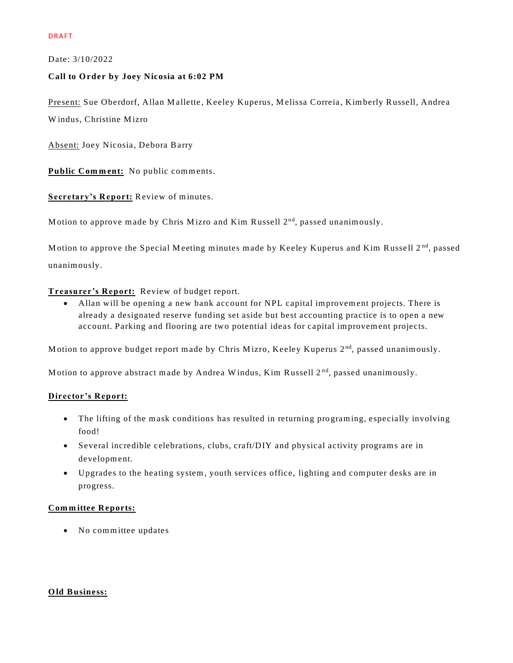Date: 3/10/2022

## **Call to O rder by Joey Nicosia at 6:02 PM**

Present: Sue Oberdorf, Allan Mallette, Keeley Kuperus, Melissa Correia, Kimberly Russell, Andrea Windus, Christine Mizro

Absent: Joey Nicosia, Debora Barry

Public Comment: No public comments.

**Secretary's Report:** Review of minutes.

Motion to approve made by Chris Mizro and Kim Russell 2<sup>nd</sup>, passed unanimously.

Motion to approve the Special Meeting minutes made by Keeley Kuperus and Kim Russell 2<sup>nd</sup>, passed unanim ously.

# **Treasurer's Report:** Review of budget report.

• Allan will be opening a new bank account for NPL capital improvement projects. There is already a designated reserve funding set aside but best accounting practice is to open a new account. Parking and flooring are two potential ideas for capital improvement projects.

Motion to approve budget report made by Chris Mizro, Keeley Kuperus 2<sup>nd</sup>, passed unanimously.

Motion to approve abstract made by Andrea Windus, Kim Russell  $2<sup>nd</sup>$ , passed unanimously.

### **Director's Report:**

- The lifting of the mask conditions has resulted in returning programing, especially involving food!
- Several incredible celebrations, clubs, craft/DIY and physical activity program s are in development.
- Upgrades to the heating system , youth services office, lighting and com puter desks are in progress.

### **Com m ittee Reports:**

• No committee updates

### **O ld Business:**